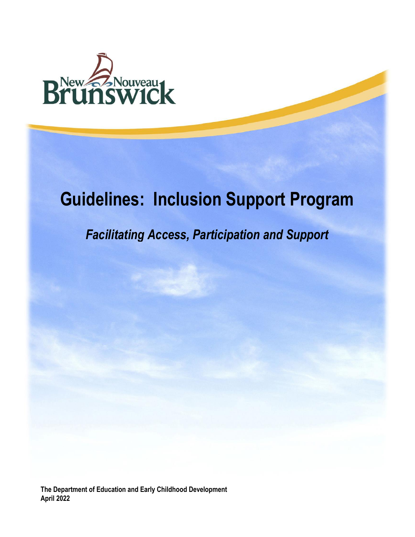

# **Guidelines: Inclusion Support Program**

## *Facilitating Access, Participation and Support*

**The Department of Education and Early Childhood Development April 2022**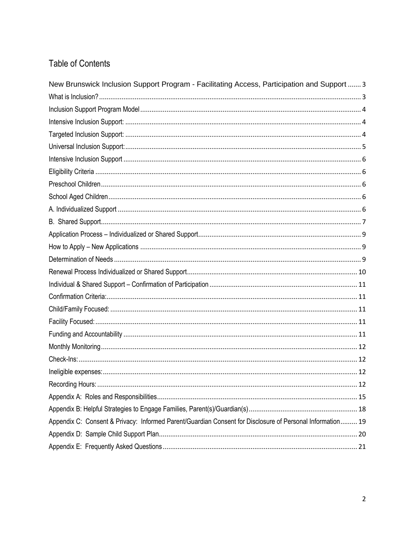## **Table of Contents**

| New Brunswick Inclusion Support Program - Facilitating Access, Participation and Support  3               |
|-----------------------------------------------------------------------------------------------------------|
|                                                                                                           |
|                                                                                                           |
|                                                                                                           |
|                                                                                                           |
|                                                                                                           |
|                                                                                                           |
|                                                                                                           |
|                                                                                                           |
|                                                                                                           |
|                                                                                                           |
|                                                                                                           |
|                                                                                                           |
|                                                                                                           |
|                                                                                                           |
|                                                                                                           |
|                                                                                                           |
|                                                                                                           |
|                                                                                                           |
|                                                                                                           |
|                                                                                                           |
|                                                                                                           |
|                                                                                                           |
|                                                                                                           |
|                                                                                                           |
|                                                                                                           |
|                                                                                                           |
| Appendix C: Consent & Privacy: Informed Parent/Guardian Consent for Disclosure of Personal Information 19 |
|                                                                                                           |
|                                                                                                           |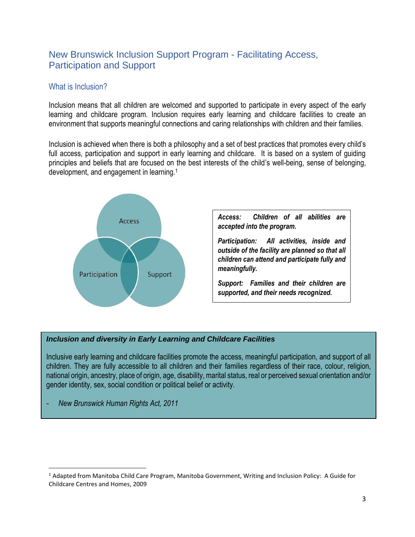## <span id="page-2-0"></span>New Brunswick Inclusion Support Program - Facilitating Access, Participation and Support

#### <span id="page-2-1"></span>What is Inclusion?

Inclusion means that all children are welcomed and supported to participate in every aspect of the early learning and childcare program. Inclusion requires early learning and childcare facilities to create an environment that supports meaningful connections and caring relationships with children and their families.

Inclusion is achieved when there is both a philosophy and a set of best practices that promotes every child's full access, participation and support in early learning and childcare. It is based on a system of guiding principles and beliefs that are focused on the best interests of the child's well-being, sense of belonging, development, and engagement in learning. 1



*Access: Children of all abilities are accepted into the program.*

*Participation: All activities, inside and outside of the facility are planned so that all children can attend and participate fully and meaningfully.*

*Support: Families and their children are supported, and their needs recognized.*

#### *Inclusion and diversity in Early Learning and Childcare Facilities*

Inclusive early learning and childcare facilities promote the access, meaningful participation, and support of all children. They are fully accessible to all children and their families regardless of their race, colour, religion, national origin, ancestry, place of origin, age, disability, marital status, real or perceived sexual orientation and/or gender identity, sex, social condition or political belief or activity.

*- New Brunswick Human Rights Act, 2011* 

<sup>&</sup>lt;sup>1</sup> Adapted from Manitoba Child Care Program, Manitoba Government, Writing and Inclusion Policy: A Guide for Childcare Centres and Homes, 2009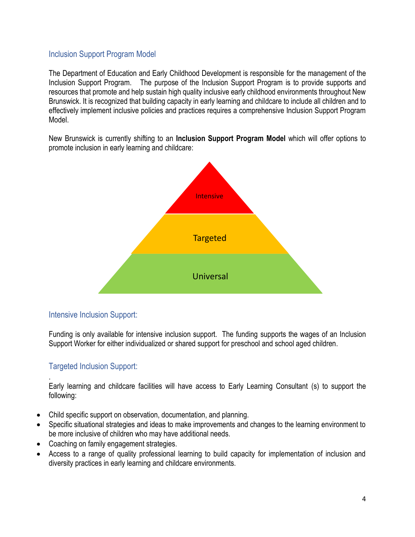#### <span id="page-3-0"></span>Inclusion Support Program Model

The Department of Education and Early Childhood Development is responsible for the management of the Inclusion Support Program. The purpose of the Inclusion Support Program is to provide supports and resources that promote and help sustain high quality inclusive early childhood environments throughout New Brunswick. It is recognized that building capacity in early learning and childcare to include all children and to effectively implement inclusive policies and practices requires a comprehensive Inclusion Support Program Model.

New Brunswick is currently shifting to an **Inclusion Support Program Model** which will offer options to promote inclusion in early learning and childcare:



#### <span id="page-3-1"></span>Intensive Inclusion Support:

Funding is only available for intensive inclusion support. The funding supports the wages of an Inclusion Support Worker for either individualized or shared support for preschool and school aged children.

#### <span id="page-3-2"></span>Targeted Inclusion Support:

.

Early learning and childcare facilities will have access to Early Learning Consultant (s) to support the following:

- Child specific support on observation, documentation, and planning.
- Specific situational strategies and ideas to make improvements and changes to the learning environment to be more inclusive of children who may have additional needs.
- Coaching on family engagement strategies.
- Access to a range of quality professional learning to build capacity for implementation of inclusion and diversity practices in early learning and childcare environments.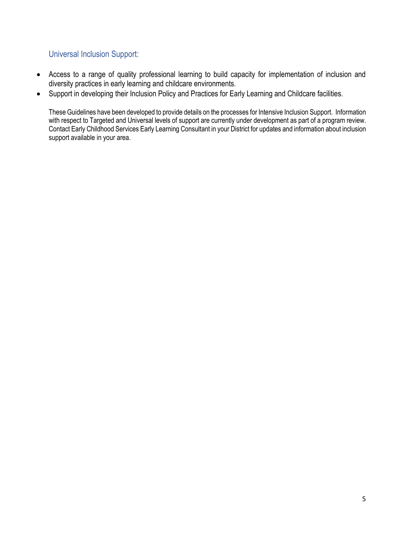#### <span id="page-4-0"></span>Universal Inclusion Support:

- Access to a range of quality professional learning to build capacity for implementation of inclusion and diversity practices in early learning and childcare environments.
- Support in developing their Inclusion Policy and Practices for Early Learning and Childcare facilities.

<span id="page-4-1"></span>These Guidelines have been developed to provide details on the processes for Intensive Inclusion Support. Information with respect to Targeted and Universal levels of support are currently under development as part of a program review. Contact Early Childhood Services Early Learning Consultant in your District for updates and information about inclusion support available in your area.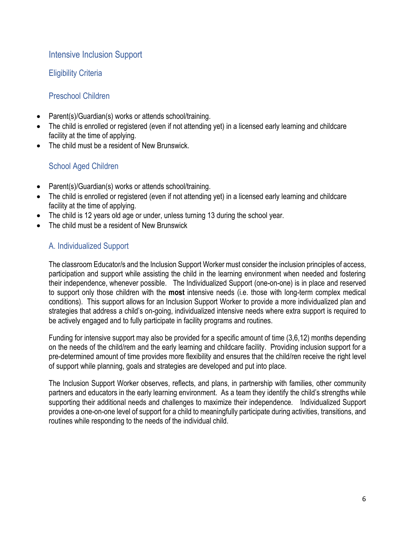#### Intensive Inclusion Support

#### <span id="page-5-0"></span>Eligibility Criteria

#### <span id="page-5-1"></span>Preschool Children

- Parent(s)/Guardian(s) works or attends school/training.
- The child is enrolled or registered (even if not attending yet) in a licensed early learning and childcare facility at the time of applying.
- The child must be a resident of New Brunswick.

#### <span id="page-5-2"></span>School Aged Children

- Parent(s)/Guardian(s) works or attends school/training.
- The child is enrolled or registered (even if not attending yet) in a licensed early learning and childcare facility at the time of applying.
- The child is 12 years old age or under, unless turning 13 during the school year.
- The child must be a resident of New Brunswick

#### <span id="page-5-3"></span>A. Individualized Support

The classroom Educator/s and the Inclusion Support Worker must consider the inclusion principles of access, participation and support while assisting the child in the learning environment when needed and fostering their independence, whenever possible. The Individualized Support (one-on-one) is in place and reserved to support only those children with the **most** intensive needs (i.e. those with long-term complex medical conditions). This support allows for an Inclusion Support Worker to provide a more individualized plan and strategies that address a child's on-going, individualized intensive needs where extra support is required to be actively engaged and to fully participate in facility programs and routines.

Funding for intensive support may also be provided for a specific amount of time (3,6,12) months depending on the needs of the child/rem and the early learning and childcare facility. Providing inclusion support for a pre-determined amount of time provides more flexibility and ensures that the child/ren receive the right level of support while planning, goals and strategies are developed and put into place.

The Inclusion Support Worker observes, reflects, and plans, in partnership with families, other community partners and educators in the early learning environment. As a team they identify the child's strengths while supporting their additional needs and challenges to maximize their independence. Individualized Support provides a one-on-one level of support for a child to meaningfully participate during activities, transitions, and routines while responding to the needs of the individual child.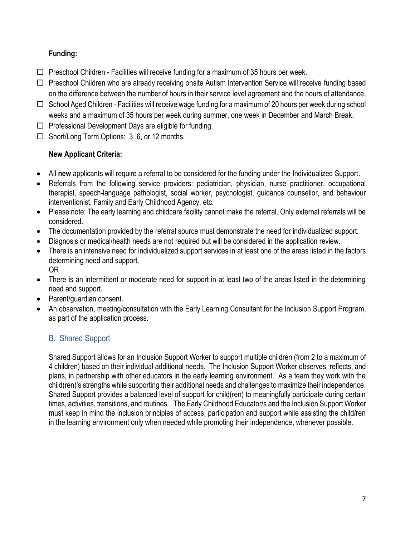#### **Funding:**

- $\Box$  Preschool Children Facilities will receive funding for a maximum of 35 hours per week.
- $\Box$  Preschool Children who are already receiving onsite Autism Intervention Service will receive funding based on the difference between the number of hours in their service level agreement and the hours of attendance.
- $\Box$  School Aged Children Facilities will receive wage funding for a maximum of 20 hours per week during school weeks and a maximum of 35 hours per week during summer, one week in December and March Break.
- $\Box$  Professional Development Days are eligible for funding.
- $\Box$  Short/Long Term Options: 3, 6, or 12 months.

#### **New Applicant Criteria:**

- All **new** applicants will require a referral to be considered for the funding under the Individualized Support.
- Referrals from the following service providers: pediatrician, physician, nurse practitioner, occupational therapist, speech-language pathologist, social worker, psychologist, guidance counsellor, and behaviour interventionist, Family and Early Childhood Agency, etc.
- Please note: The early learning and childcare facility cannot make the referral. Only external referrals will be considered.
- The documentation provided by the referral source must demonstrate the need for individualized support.
- Diagnosis or medical/health needs are not required but will be considered in the application review.
- There is an intensive need for individualized support services in at least one of the areas listed in the factors determining need and support. OR
- There is an intermittent or moderate need for support in at least two of the areas listed in the determining need and support.
- Parent/guardian consent.
- An observation, meeting/consultation with the Early Learning Consultant for the Inclusion Support Program, as part of the application process.

## <span id="page-6-0"></span>B. Shared Support

Shared Support allows for an Inclusion Support Worker to support multiple children (from 2 to a maximum of 4 children) based on their individual additional needs. The Inclusion Support Worker observes, reflects, and plans, in partnership with other educators in the early learning environment. As a team they work with the child(ren)'s strengths while supporting their additional needs and challenges to maximize their independence. Shared Support provides a balanced level of support for child(ren) to meaningfully participate during certain times, activities, transitions, and routines. The Early Childhood Educator/s and the Inclusion Support Worker must keep in mind the inclusion principles of access, participation and support while assisting the child/ren in the learning environment only when needed while promoting their independence, whenever possible.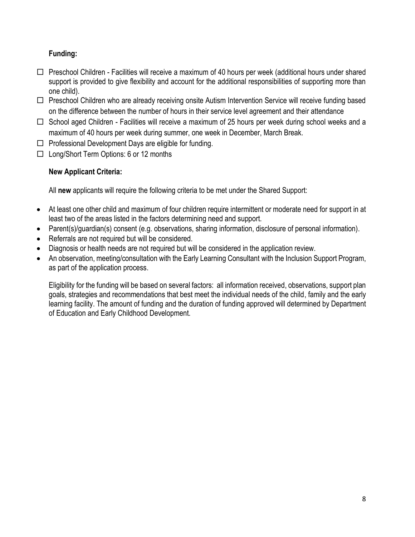#### **Funding:**

- $\Box$  Preschool Children Facilities will receive a maximum of 40 hours per week (additional hours under shared support is provided to give flexibility and account for the additional responsibilities of supporting more than one child).
- □ Preschool Children who are already receiving onsite Autism Intervention Service will receive funding based on the difference between the number of hours in their service level agreement and their attendance
- $\Box$  School aged Children Facilities will receive a maximum of 25 hours per week during school weeks and a maximum of 40 hours per week during summer, one week in December, March Break.
- $\Box$  Professional Development Days are eligible for funding.
- □ Long/Short Term Options: 6 or 12 months

#### **New Applicant Criteria:**

All **new** applicants will require the following criteria to be met under the Shared Support:

- At least one other child and maximum of four children require intermittent or moderate need for support in at least two of the areas listed in the factors determining need and support.
- Parent(s)/guardian(s) consent (e.g. observations, sharing information, disclosure of personal information).
- Referrals are not required but will be considered.
- Diagnosis or health needs are not required but will be considered in the application review.
- An observation, meeting/consultation with the Early Learning Consultant with the Inclusion Support Program, as part of the application process.

<span id="page-7-0"></span>Eligibility for the funding will be based on several factors: all information received, observations, support plan goals, strategies and recommendations that best meet the individual needs of the child, family and the early learning facility. The amount of funding and the duration of funding approved will determined by Department of Education and Early Childhood Development.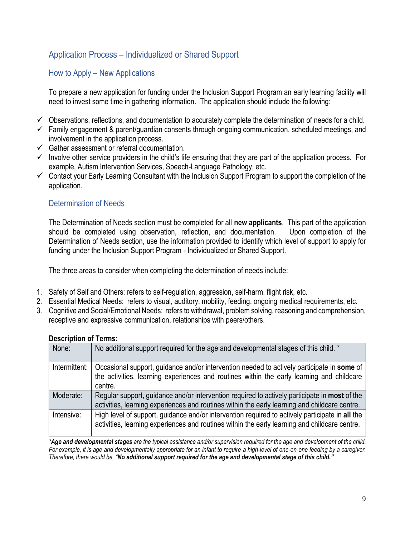## Application Process – Individualized or Shared Support

#### <span id="page-8-0"></span>How to Apply – New Applications

To prepare a new application for funding under the Inclusion Support Program an early learning facility will need to invest some time in gathering information. The application should include the following:

- ✓ Observations, reflections, and documentation to accurately complete the determination of needs for a child.
- $\checkmark$  Family engagement & parent/guardian consents through ongoing communication, scheduled meetings, and involvement in the application process.
- $\checkmark$  Gather assessment or referral documentation.
- $\checkmark$  Involve other service providers in the child's life ensuring that they are part of the application process. For example, Autism Intervention Services, Speech-Language Pathology, etc.
- ✓ Contact your Early Learning Consultant with the Inclusion Support Program to support the completion of the application.

#### <span id="page-8-1"></span>Determination of Needs

The Determination of Needs section must be completed for all **new applicants**. This part of the application should be completed using observation, reflection, and documentation. Upon completion of the Determination of Needs section, use the information provided to identify which level of support to apply for funding under the Inclusion Support Program - Individualized or Shared Support.

The three areas to consider when completing the determination of needs include:

- 1. Safety of Self and Others: refers to self-regulation, aggression, self-harm, flight risk, etc.
- 2. Essential Medical Needs: refers to visual, auditory, mobility, feeding, ongoing medical requirements, etc.
- 3. Cognitive and Social/Emotional Needs: refers to withdrawal, problem solving, reasoning and comprehension, receptive and expressive communication, relationships with peers/others.

| None:         | No additional support required for the age and developmental stages of this child. *                                                                                                               |
|---------------|----------------------------------------------------------------------------------------------------------------------------------------------------------------------------------------------------|
| Intermittent: | Occasional support, guidance and/or intervention needed to actively participate in some of<br>the activities, learning experiences and routines within the early learning and childcare<br>centre. |
| Moderate:     | Regular support, guidance and/or intervention required to actively participate in most of the<br>activities, learning experiences and routines within the early learning and childcare centre.     |
| Intensive:    | High level of support, guidance and/or intervention required to actively participate in all the<br>activities, learning experiences and routines within the early learning and childcare centre.   |

#### **Description of Terms:**

*\*Age and developmental stages are the typical assistance and/or supervision required for the age and development of the child. For example, it is age and developmentally appropriate for an infant to require a high-level of one-on-one feeding by a caregiver. Therefore, there would be, "No additional support required for the age and developmental stage of this child."*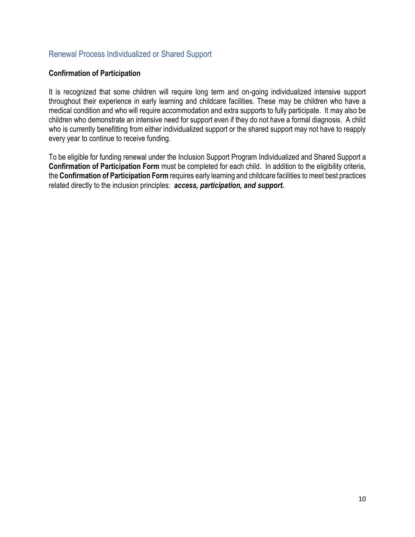#### <span id="page-9-0"></span>Renewal Process Individualized or Shared Support

#### **Confirmation of Participation**

It is recognized that some children will require long term and on-going individualized intensive support throughout their experience in early learning and childcare facilities. These may be children who have a medical condition and who will require accommodation and extra supports to fully participate. It may also be children who demonstrate an intensive need for support even if they do not have a formal diagnosis. A child who is currently benefitting from either individualized support or the shared support may not have to reapply every year to continue to receive funding.

<span id="page-9-1"></span>To be eligible for funding renewal under the Inclusion Support Program Individualized and Shared Support a **Confirmation of Participation Form** must be completed for each child. In addition to the eligibility criteria, the **Confirmation of Participation Form** requires early learning and childcare facilities to meet best practices related directly to the inclusion principles: *access, participation, and support.*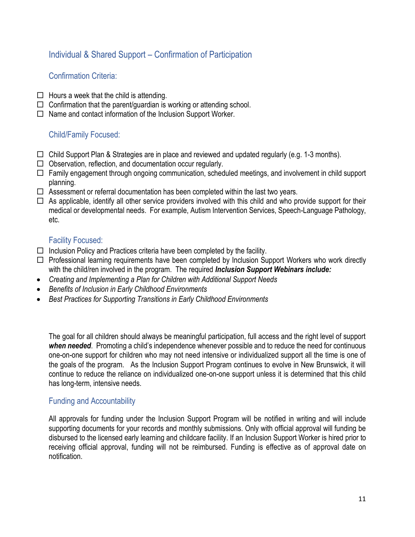### Individual & Shared Support – Confirmation of Participation

#### <span id="page-10-0"></span>Confirmation Criteria:

- $\Box$  Hours a week that the child is attending.
- $\Box$  Confirmation that the parent/quardian is working or attending school.
- $\Box$  Name and contact information of the Inclusion Support Worker.

#### <span id="page-10-1"></span>Child/Family Focused:

- $\Box$  Child Support Plan & Strategies are in place and reviewed and updated regularly (e.g. 1-3 months).
- $\Box$  Observation, reflection, and documentation occur regularly.
- $\Box$  Family engagement through ongoing communication, scheduled meetings, and involvement in child support planning.
- $\Box$  Assessment or referral documentation has been completed within the last two years.
- $\Box$  As applicable, identify all other service providers involved with this child and who provide support for their medical or developmental needs. For example, Autism Intervention Services, Speech-Language Pathology, etc.

#### <span id="page-10-2"></span>Facility Focused:

- $\Box$  Inclusion Policy and Practices criteria have been completed by the facility.
- $\Box$  Professional learning requirements have been completed by Inclusion Support Workers who work directly with the child/ren involved in the program. The required *Inclusion Support Webinars include:*
- *Creating and Implementing a Plan for Children with Additional Support Needs*
- *Benefits of Inclusion in Early Childhood Environments*
- *Best Practices for Supporting Transitions in Early Childhood Environments*

The goal for all children should always be meaningful participation, full access and the right level of support *when needed*. Promoting a child's independence whenever possible and to reduce the need for continuous one-on-one support for children who may not need intensive or individualized support all the time is one of the goals of the program. As the Inclusion Support Program continues to evolve in New Brunswick, it will continue to reduce the reliance on individualized one-on-one support unless it is determined that this child has long-term, intensive needs.

#### <span id="page-10-3"></span>Funding and Accountability

All approvals for funding under the Inclusion Support Program will be notified in writing and will include supporting documents for your records and monthly submissions. Only with official approval will funding be disbursed to the licensed early learning and childcare facility. If an Inclusion Support Worker is hired prior to receiving official approval, funding will not be reimbursed. Funding is effective as of approval date on notification.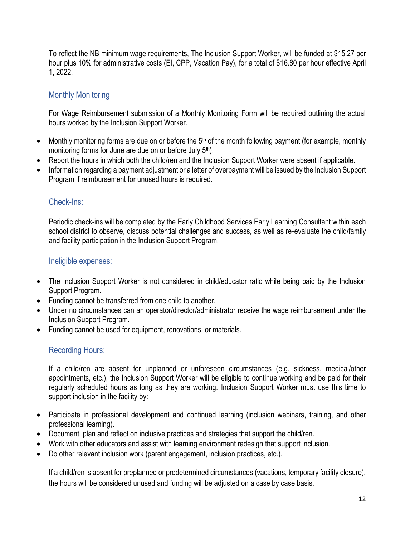To reflect the NB minimum wage requirements, The Inclusion Support Worker, will be funded at \$15.27 per hour plus 10% for administrative costs (EI, CPP, Vacation Pay), for a total of \$16.80 per hour effective April 1, 2022.

#### <span id="page-11-0"></span>Monthly Monitoring

For Wage Reimbursement submission of a Monthly Monitoring Form will be required outlining the actual hours worked by the Inclusion Support Worker.

- Monthly monitoring forms are due on or before the 5th of the month following payment (for example, monthly monitoring forms for June are due on or before July 5<sup>th</sup>).
- Report the hours in which both the child/ren and the Inclusion Support Worker were absent if applicable.
- Information regarding a payment adjustment or a letter of overpayment will be issued by the Inclusion Support Program if reimbursement for unused hours is required.

#### <span id="page-11-1"></span>Check-Ins:

Periodic check-ins will be completed by the Early Childhood Services Early Learning Consultant within each school district to observe, discuss potential challenges and success, as well as re-evaluate the child/family and facility participation in the Inclusion Support Program.

#### <span id="page-11-2"></span>Ineligible expenses:

- The Inclusion Support Worker is not considered in child/educator ratio while being paid by the Inclusion Support Program.
- Funding cannot be transferred from one child to another.
- Under no circumstances can an operator/director/administrator receive the wage reimbursement under the Inclusion Support Program.
- Funding cannot be used for equipment, renovations, or materials.

#### <span id="page-11-3"></span>Recording Hours:

If a child/ren are absent for unplanned or unforeseen circumstances (e.g. sickness, medical/other appointments, etc.), the Inclusion Support Worker will be eligible to continue working and be paid for their regularly scheduled hours as long as they are working. Inclusion Support Worker must use this time to support inclusion in the facility by:

- Participate in professional development and continued learning (inclusion webinars, training, and other professional learning).
- Document, plan and reflect on inclusive practices and strategies that support the child/ren.
- Work with other educators and assist with learning environment redesign that support inclusion.
- Do other relevant inclusion work (parent engagement, inclusion practices, etc.).

If a child/ren is absent for preplanned or predetermined circumstances (vacations, temporary facility closure), the hours will be considered unused and funding will be adjusted on a case by case basis.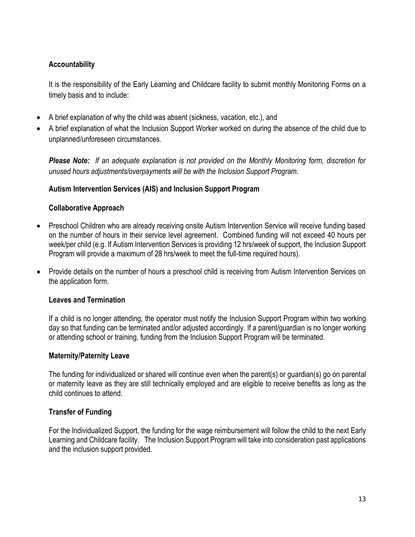#### **Accountability**

It is the responsibility of the Early Learning and Childcare facility to submit monthly Monitoring Forms on a timely basis and to include:

- A brief explanation of why the child was absent (sickness, vacation, etc.), and
- A brief explanation of what the Inclusion Support Worker worked on during the absence of the child due to unplanned/unforeseen circumstances.

*Please Note: If an adequate explanation is not provided on the Monthly Monitoring form, discretion for unused hours adjustments/overpayments will be with the Inclusion Support Program.* 

#### **Autism Intervention Services (AIS) and Inclusion Support Program**

#### **Collaborative Approach**

- Preschool Children who are already receiving onsite Autism Intervention Service will receive funding based on the number of hours in their service level agreement. Combined funding will not exceed 40 hours per week/per child (e.g. If Autism Intervention Services is providing 12 hrs/week of support, the Inclusion Support Program will provide a maximum of 28 hrs/week to meet the full-time required hours).
- Provide details on the number of hours a preschool child is receiving from Autism Intervention Services on the application form.

#### **Leaves and Termination**

If a child is no longer attending, the operator must notify the Inclusion Support Program within two working day so that funding can be terminated and/or adjusted accordingly. If a parent/guardian is no longer working or attending school or training, funding from the Inclusion Support Program will be terminated.

#### **Maternity/Paternity Leave**

The funding for individualized or shared will continue even when the parent(s) or guardian(s) go on parental or maternity leave as they are still technically employed and are eligible to receive benefits as long as the child continues to attend.

#### **Transfer of Funding**

For the Individualized Support, the funding for the wage reimbursement will follow the child to the next Early Learning and Childcare facility. The Inclusion Support Program will take into consideration past applications and the inclusion support provided.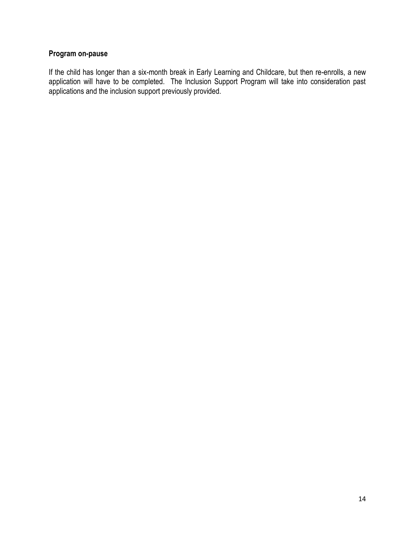#### **Program on-pause**

If the child has longer than a six-month break in Early Learning and Childcare, but then re-enrolls, a new application will have to be completed. The Inclusion Support Program will take into consideration past applications and the inclusion support previously provided.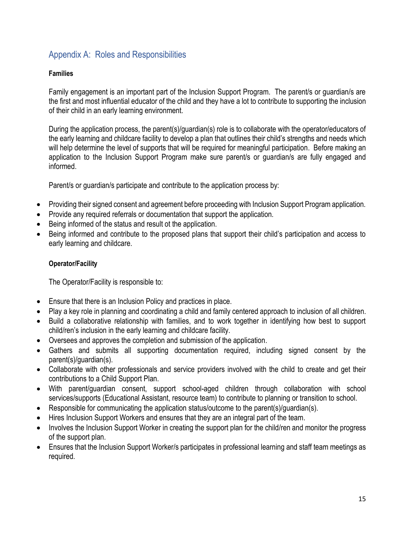## <span id="page-14-0"></span>Appendix A: Roles and Responsibilities

#### **Families**

Family engagement is an important part of the Inclusion Support Program. The parent/s or guardian/s are the first and most influential educator of the child and they have a lot to contribute to supporting the inclusion of their child in an early learning environment.

During the application process, the parent(s)/guardian(s) role is to collaborate with the operator/educators of the early learning and childcare facility to develop a plan that outlines their child's strengths and needs which will help determine the level of supports that will be required for meaningful participation. Before making an application to the Inclusion Support Program make sure parent/s or guardian/s are fully engaged and informed.

Parent/s or guardian/s participate and contribute to the application process by:

- Providing their signed consent and agreement before proceeding with Inclusion Support Program application.
- Provide any required referrals or documentation that support the application.
- Being informed of the status and result ot the application.
- Being informed and contribute to the proposed plans that support their child's participation and access to early learning and childcare.

#### **Operator/Facility**

The Operator/Facility is responsible to:

- Ensure that there is an Inclusion Policy and practices in place.
- Play a key role in planning and coordinating a child and family centered approach to inclusion of all children.
- Build a collaborative relationship with families, and to work together in identifying how best to support child/ren's inclusion in the early learning and childcare facility.
- Oversees and approves the completion and submission of the application.
- Gathers and submits all supporting documentation required, including signed consent by the parent(s)/guardian(s).
- Collaborate with other professionals and service providers involved with the child to create and get their contributions to a Child Support Plan.
- With parent/guardian consent, support school-aged children through collaboration with school services/supports (Educational Assistant, resource team) to contribute to planning or transition to school.
- Responsible for communicating the application status/outcome to the parent(s)/guardian(s).
- Hires Inclusion Support Workers and ensures that they are an integral part of the team.
- Involves the Inclusion Support Worker in creating the support plan for the child/ren and monitor the progress of the support plan.
- Ensures that the Inclusion Support Worker/s participates in professional learning and staff team meetings as required.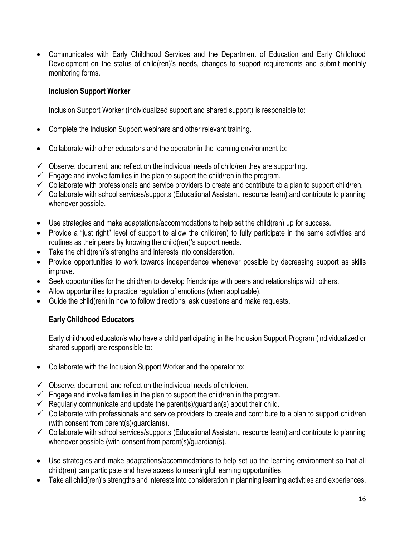• Communicates with Early Childhood Services and the Department of Education and Early Childhood Development on the status of child(ren)'s needs, changes to support requirements and submit monthly monitoring forms.

#### **Inclusion Support Worker**

Inclusion Support Worker (individualized support and shared support) is responsible to:

- Complete the Inclusion Support webinars and other relevant training.
- Collaborate with other educators and the operator in the learning environment to:
- $\checkmark$  Observe, document, and reflect on the individual needs of child/ren they are supporting.
- $\checkmark$  Engage and involve families in the plan to support the child/ren in the program.
- $\checkmark$  Collaborate with professionals and service providers to create and contribute to a plan to support child/ren.
- ✓ Collaborate with school services/supports (Educational Assistant, resource team) and contribute to planning whenever possible.
- Use strategies and make adaptations/accommodations to help set the child(ren) up for success.
- Provide a "just right" level of support to allow the child(ren) to fully participate in the same activities and routines as their peers by knowing the child(ren)'s support needs.
- Take the child(ren)'s strengths and interests into consideration.
- Provide opportunities to work towards independence whenever possible by decreasing support as skills improve.
- Seek opportunities for the child/ren to develop friendships with peers and relationships with others.
- Allow opportunities to practice regulation of emotions (when applicable).
- Guide the child(ren) in how to follow directions, ask questions and make requests.

#### **Early Childhood Educators**

Early childhood educator/s who have a child participating in the Inclusion Support Program (individualized or shared support) are responsible to:

- Collaborate with the Inclusion Support Worker and the operator to:
- $\checkmark$  Observe, document, and reflect on the individual needs of child/ren.
- $\checkmark$  Engage and involve families in the plan to support the child/ren in the program.
- $\checkmark$  Regularly communicate and update the parent(s)/guardian(s) about their child.
- $\checkmark$  Collaborate with professionals and service providers to create and contribute to a plan to support child/ren (with consent from parent(s)/guardian(s).
- ✓ Collaborate with school services/supports (Educational Assistant, resource team) and contribute to planning whenever possible (with consent from parent(s)/guardian(s).
- Use strategies and make adaptations/accommodations to help set up the learning environment so that all child(ren) can participate and have access to meaningful learning opportunities.
- Take all child(ren)'s strengths and interests into consideration in planning learning activities and experiences.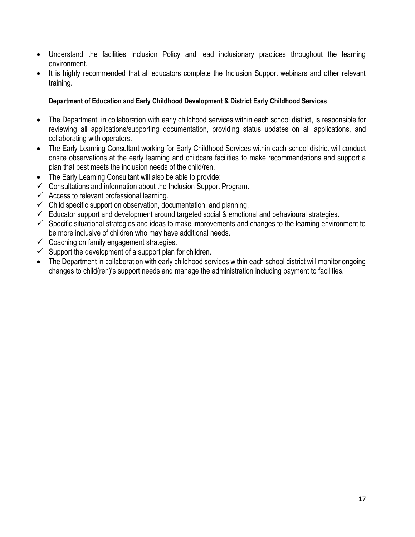- Understand the facilities Inclusion Policy and lead inclusionary practices throughout the learning environment.
- It is highly recommended that all educators complete the Inclusion Support webinars and other relevant training.

#### **Department of Education and Early Childhood Development & District Early Childhood Services**

- The Department, in collaboration with early childhood services within each school district, is responsible for reviewing all applications/supporting documentation, providing status updates on all applications, and collaborating with operators.
- The Early Learning Consultant working for Early Childhood Services within each school district will conduct onsite observations at the early learning and childcare facilities to make recommendations and support a plan that best meets the inclusion needs of the child/ren.
- The Early Learning Consultant will also be able to provide:
- $\checkmark$  Consultations and information about the Inclusion Support Program.
- $\checkmark$  Access to relevant professional learning.
- $\checkmark$  Child specific support on observation, documentation, and planning.
- $\checkmark$  Educator support and development around targeted social & emotional and behavioural strategies.
- ✓ Specific situational strategies and ideas to make improvements and changes to the learning environment to be more inclusive of children who may have additional needs.
- $\checkmark$  Coaching on family engagement strategies.
- $\checkmark$  Support the development of a support plan for children.
- The Department in collaboration with early childhood services within each school district will monitor ongoing changes to child(ren)'s support needs and manage the administration including payment to facilities.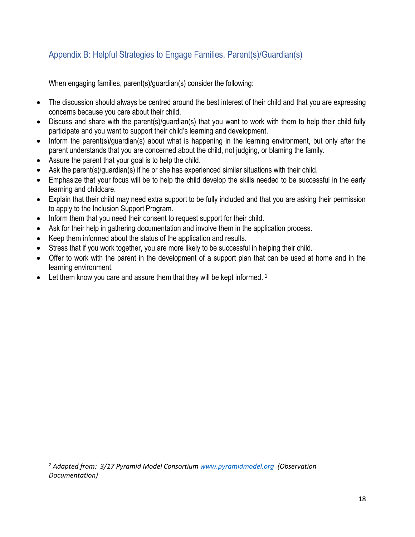## <span id="page-17-0"></span>Appendix B: Helpful Strategies to Engage Families, Parent(s)/Guardian(s)

When engaging families, parent(s)/guardian(s) consider the following:

- The discussion should always be centred around the best interest of their child and that you are expressing concerns because you care about their child.
- Discuss and share with the parent(s)/guardian(s) that you want to work with them to help their child fully participate and you want to support their child's learning and development.
- Inform the parent(s)/guardian(s) about what is happening in the learning environment, but only after the parent understands that you are concerned about the child, not judging, or blaming the family.
- Assure the parent that your goal is to help the child.
- Ask the parent(s)/guardian(s) if he or she has experienced similar situations with their child.
- Emphasize that your focus will be to help the child develop the skills needed to be successful in the early learning and childcare.
- Explain that their child may need extra support to be fully included and that you are asking their permission to apply to the Inclusion Support Program.
- Inform them that you need their consent to request support for their child.
- Ask for their help in gathering documentation and involve them in the application process.
- Keep them informed about the status of the application and results.
- Stress that if you work together, you are more likely to be successful in helping their child.
- Offer to work with the parent in the development of a support plan that can be used at home and in the learning environment.
- Let them know you care and assure them that they will be kept informed. <sup>2</sup>

<sup>2</sup> *Adapted from: 3/17 Pyramid Model Consortium [www.pyramidmodel.org](http://www.pyramidmodel.org/) (Observation Documentation)*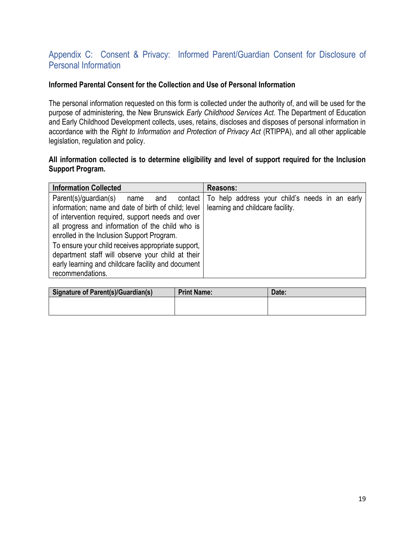## <span id="page-18-0"></span>Appendix C: Consent & Privacy: Informed Parent/Guardian Consent for Disclosure of Personal Information

#### **Informed Parental Consent for the Collection and Use of Personal Information**

The personal information requested on this form is collected under the authority of, and will be used for the purpose of administering, the New Brunswick *Early Childhood Services Act*. The Department of Education and Early Childhood Development collects, uses, retains, discloses and disposes of personal information in accordance with the *Right to Information and Protection of Privacy Act* (RTIPPA), and all other applicable legislation, regulation and policy.

#### **All information collected is to determine eligibility and level of support required for the Inclusion Support Program.**

| <b>Information Collected</b>                                                                                                                                                                                                                                                                                                                                                                                                           | Reasons:                                                                                     |
|----------------------------------------------------------------------------------------------------------------------------------------------------------------------------------------------------------------------------------------------------------------------------------------------------------------------------------------------------------------------------------------------------------------------------------------|----------------------------------------------------------------------------------------------|
| Parent(s)/quardian(s)<br>and<br>name<br>information; name and date of birth of child; level<br>of intervention required, support needs and over<br>all progress and information of the child who is<br>enrolled in the Inclusion Support Program.<br>To ensure your child receives appropriate support,<br>department staff will observe your child at their<br>early learning and childcare facility and document<br>recommendations. | contact   To help address your child's needs in an early<br>learning and childcare facility. |

| Signature of Parent(s)/Guardian(s) | <b>Print Name:</b> | Date: |
|------------------------------------|--------------------|-------|
|                                    |                    |       |
|                                    |                    |       |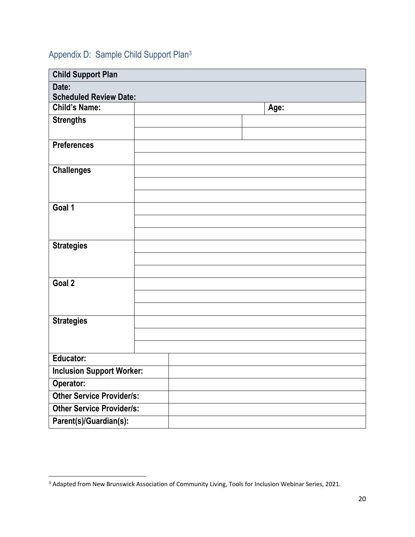## <span id="page-19-0"></span>Appendix D: Sample Child Support Plan<sup>3</sup>

| <b>Child Support Plan</b>        |  |  |      |  |  |  |  |
|----------------------------------|--|--|------|--|--|--|--|
| Date:                            |  |  |      |  |  |  |  |
| <b>Scheduled Review Date:</b>    |  |  |      |  |  |  |  |
| <b>Child's Name:</b>             |  |  | Age: |  |  |  |  |
| <b>Strengths</b>                 |  |  |      |  |  |  |  |
|                                  |  |  |      |  |  |  |  |
| <b>Preferences</b>               |  |  |      |  |  |  |  |
|                                  |  |  |      |  |  |  |  |
| <b>Challenges</b>                |  |  |      |  |  |  |  |
|                                  |  |  |      |  |  |  |  |
|                                  |  |  |      |  |  |  |  |
| Goal 1                           |  |  |      |  |  |  |  |
|                                  |  |  |      |  |  |  |  |
|                                  |  |  |      |  |  |  |  |
| <b>Strategies</b>                |  |  |      |  |  |  |  |
|                                  |  |  |      |  |  |  |  |
|                                  |  |  |      |  |  |  |  |
| Goal 2                           |  |  |      |  |  |  |  |
|                                  |  |  |      |  |  |  |  |
|                                  |  |  |      |  |  |  |  |
| <b>Strategies</b>                |  |  |      |  |  |  |  |
|                                  |  |  |      |  |  |  |  |
|                                  |  |  |      |  |  |  |  |
| <b>Educator:</b>                 |  |  |      |  |  |  |  |
| <b>Inclusion Support Worker:</b> |  |  |      |  |  |  |  |
| Operator:                        |  |  |      |  |  |  |  |
| <b>Other Service Provider/s:</b> |  |  |      |  |  |  |  |
| <b>Other Service Provider/s:</b> |  |  |      |  |  |  |  |
| Parent(s)/Guardian(s):           |  |  |      |  |  |  |  |

<sup>&</sup>lt;sup>3</sup> Adapted from New Brunswick Association of Community Living, Tools for Inclusion Webinar Series, 2021.